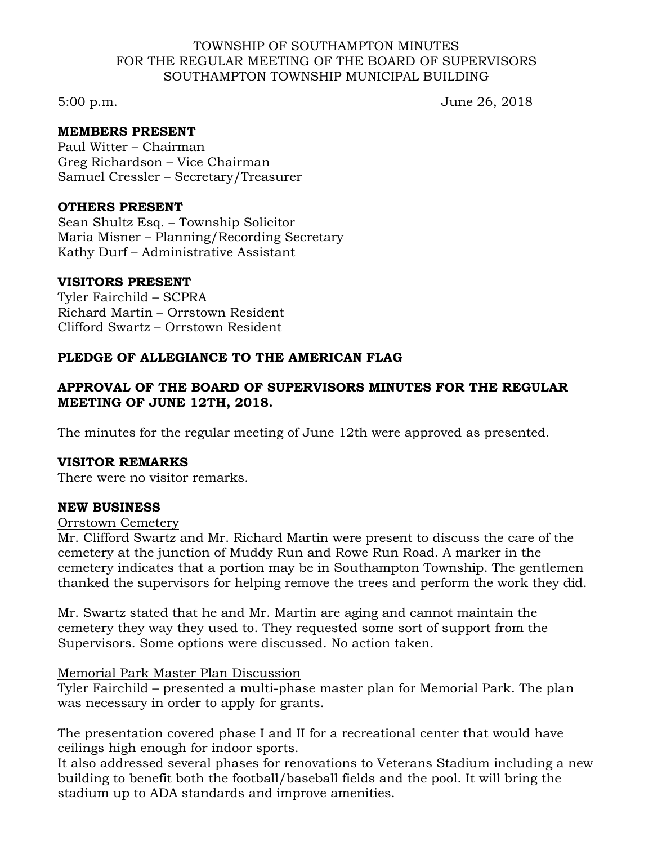### TOWNSHIP OF SOUTHAMPTON MINUTES FOR THE REGULAR MEETING OF THE BOARD OF SUPERVISORS SOUTHAMPTON TOWNSHIP MUNICIPAL BUILDING

5:00 p.m. June 26, 2018

## **MEMBERS PRESENT**

Paul Witter – Chairman Greg Richardson – Vice Chairman Samuel Cressler – Secretary/Treasurer

### **OTHERS PRESENT**

Sean Shultz Esq. – Township Solicitor Maria Misner – Planning/Recording Secretary Kathy Durf – Administrative Assistant

#### **VISITORS PRESENT**

Tyler Fairchild – SCPRA Richard Martin – Orrstown Resident Clifford Swartz – Orrstown Resident

## **PLEDGE OF ALLEGIANCE TO THE AMERICAN FLAG**

# **APPROVAL OF THE BOARD OF SUPERVISORS MINUTES FOR THE REGULAR MEETING OF JUNE 12TH, 2018.**

The minutes for the regular meeting of June 12th were approved as presented.

## **VISITOR REMARKS**

There were no visitor remarks.

#### **NEW BUSINESS**

#### Orrstown Cemetery

Mr. Clifford Swartz and Mr. Richard Martin were present to discuss the care of the cemetery at the junction of Muddy Run and Rowe Run Road. A marker in the cemetery indicates that a portion may be in Southampton Township. The gentlemen thanked the supervisors for helping remove the trees and perform the work they did.

Mr. Swartz stated that he and Mr. Martin are aging and cannot maintain the cemetery they way they used to. They requested some sort of support from the Supervisors. Some options were discussed. No action taken.

#### Memorial Park Master Plan Discussion

Tyler Fairchild – presented a multi-phase master plan for Memorial Park. The plan was necessary in order to apply for grants.

The presentation covered phase I and II for a recreational center that would have ceilings high enough for indoor sports.

It also addressed several phases for renovations to Veterans Stadium including a new building to benefit both the football/baseball fields and the pool. It will bring the stadium up to ADA standards and improve amenities.